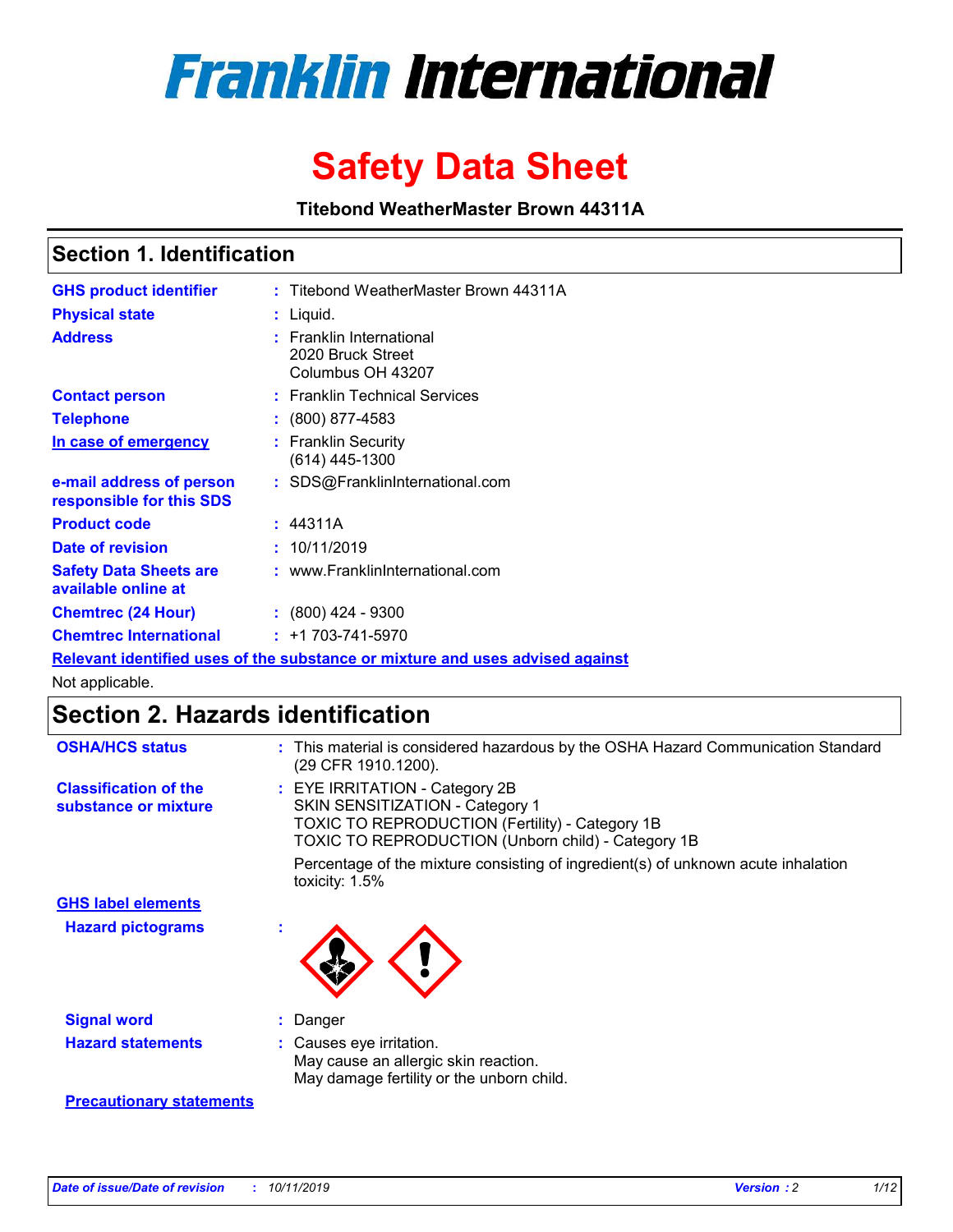

# **Safety Data Sheet**

**Titebond WeatherMaster Brown 44311A**

### **Section 1. Identification**

| <b>GHS product identifier</b>                        | : Titebond WeatherMaster Brown 44311A                                                |
|------------------------------------------------------|--------------------------------------------------------------------------------------|
| <b>Physical state</b>                                | : Liquid.                                                                            |
| <b>Address</b>                                       | <b>Franklin International</b><br>2020 Bruck Street<br>Columbus OH 43207              |
| <b>Contact person</b>                                | : Franklin Technical Services                                                        |
| <b>Telephone</b>                                     | $\colon$ (800) 877-4583                                                              |
| In case of emergency                                 | : Franklin Security<br>(614) 445-1300                                                |
| e-mail address of person<br>responsible for this SDS | : SDS@FranklinInternational.com                                                      |
| <b>Product code</b>                                  | : 44311A                                                                             |
| Date of revision                                     | : 10/11/2019                                                                         |
| <b>Safety Data Sheets are</b><br>available online at | : www.FranklinInternational.com                                                      |
| <b>Chemtrec (24 Hour)</b>                            | $: (800)$ 424 - 9300                                                                 |
| <b>Chemtrec International</b>                        | $: +1703 - 741 - 5970$                                                               |
|                                                      | <u>Relevant identified uses of the substance or mixture and uses advised against</u> |

Not applicable.

## **Section 2. Hazards identification**

| <b>OSHA/HCS status</b>                               | : This material is considered hazardous by the OSHA Hazard Communication Standard<br>(29 CFR 1910.1200).                                                                          |
|------------------------------------------------------|-----------------------------------------------------------------------------------------------------------------------------------------------------------------------------------|
| <b>Classification of the</b><br>substance or mixture | : EYE IRRITATION - Category 2B<br>SKIN SENSITIZATION - Category 1<br><b>TOXIC TO REPRODUCTION (Fertility) - Category 1B</b><br>TOXIC TO REPRODUCTION (Unborn child) - Category 1B |
|                                                      | Percentage of the mixture consisting of ingredient(s) of unknown acute inhalation<br>toxicity: $1.5\%$                                                                            |
| <b>GHS label elements</b>                            |                                                                                                                                                                                   |
| <b>Hazard pictograms</b>                             |                                                                                                                                                                                   |
| <b>Signal word</b>                                   | : Danger                                                                                                                                                                          |
| <b>Hazard statements</b>                             | : Causes eye irritation.<br>May cause an allergic skin reaction.<br>May damage fertility or the unborn child.                                                                     |
| <b>Precautionary statements</b>                      |                                                                                                                                                                                   |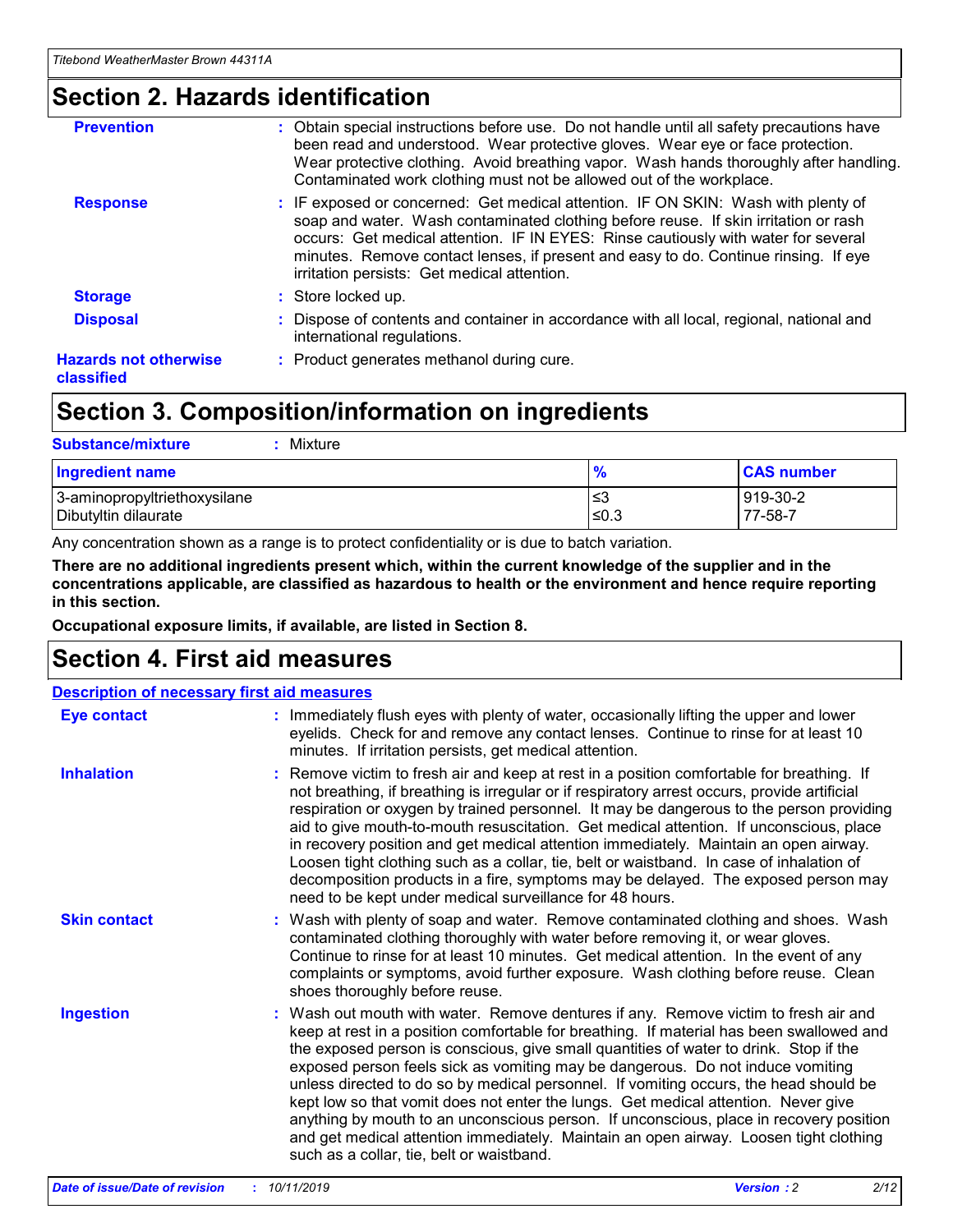### **Section 2. Hazards identification**

| <b>Prevention</b>                          | : Obtain special instructions before use. Do not handle until all safety precautions have<br>been read and understood. Wear protective gloves. Wear eye or face protection.<br>Wear protective clothing. Avoid breathing vapor. Wash hands thoroughly after handling.<br>Contaminated work clothing must not be allowed out of the workplace.                                                        |
|--------------------------------------------|------------------------------------------------------------------------------------------------------------------------------------------------------------------------------------------------------------------------------------------------------------------------------------------------------------------------------------------------------------------------------------------------------|
| <b>Response</b>                            | : IF exposed or concerned: Get medical attention. IF ON SKIN: Wash with plenty of<br>soap and water. Wash contaminated clothing before reuse. If skin irritation or rash<br>occurs: Get medical attention. IF IN EYES: Rinse cautiously with water for several<br>minutes. Remove contact lenses, if present and easy to do. Continue rinsing. If eye<br>irritation persists: Get medical attention. |
| <b>Storage</b>                             | : Store locked up.                                                                                                                                                                                                                                                                                                                                                                                   |
| <b>Disposal</b>                            | : Dispose of contents and container in accordance with all local, regional, national and<br>international regulations.                                                                                                                                                                                                                                                                               |
| <b>Hazards not otherwise</b><br>classified | : Product generates methanol during cure.                                                                                                                                                                                                                                                                                                                                                            |

### **Section 3. Composition/information on ingredients**

| <b>Substance/mixture</b><br>Mixture                  |                   |                     |
|------------------------------------------------------|-------------------|---------------------|
| <b>Ingredient name</b>                               | $\frac{9}{6}$     | <b>CAS number</b>   |
| 3-aminopropyltriethoxysilane<br>Dibutyltin dilaurate | l≤3<br>$\leq 0.3$ | 919-30-2<br>77-58-7 |

Any concentration shown as a range is to protect confidentiality or is due to batch variation.

**There are no additional ingredients present which, within the current knowledge of the supplier and in the concentrations applicable, are classified as hazardous to health or the environment and hence require reporting in this section.**

**Occupational exposure limits, if available, are listed in Section 8.**

### **Section 4. First aid measures**

| <b>Description of necessary first aid measures</b> |                                                                                                                                                                                                                                                                                                                                                                                                                                                                                                                                                                                                                                                                                                                                                                           |
|----------------------------------------------------|---------------------------------------------------------------------------------------------------------------------------------------------------------------------------------------------------------------------------------------------------------------------------------------------------------------------------------------------------------------------------------------------------------------------------------------------------------------------------------------------------------------------------------------------------------------------------------------------------------------------------------------------------------------------------------------------------------------------------------------------------------------------------|
| <b>Eye contact</b>                                 | : Immediately flush eyes with plenty of water, occasionally lifting the upper and lower<br>eyelids. Check for and remove any contact lenses. Continue to rinse for at least 10<br>minutes. If irritation persists, get medical attention.                                                                                                                                                                                                                                                                                                                                                                                                                                                                                                                                 |
| <b>Inhalation</b>                                  | : Remove victim to fresh air and keep at rest in a position comfortable for breathing. If<br>not breathing, if breathing is irregular or if respiratory arrest occurs, provide artificial<br>respiration or oxygen by trained personnel. It may be dangerous to the person providing<br>aid to give mouth-to-mouth resuscitation. Get medical attention. If unconscious, place<br>in recovery position and get medical attention immediately. Maintain an open airway.<br>Loosen tight clothing such as a collar, tie, belt or waistband. In case of inhalation of<br>decomposition products in a fire, symptoms may be delayed. The exposed person may<br>need to be kept under medical surveillance for 48 hours.                                                       |
| <b>Skin contact</b>                                | : Wash with plenty of soap and water. Remove contaminated clothing and shoes. Wash<br>contaminated clothing thoroughly with water before removing it, or wear gloves.<br>Continue to rinse for at least 10 minutes. Get medical attention. In the event of any<br>complaints or symptoms, avoid further exposure. Wash clothing before reuse. Clean<br>shoes thoroughly before reuse.                                                                                                                                                                                                                                                                                                                                                                                     |
| <b>Ingestion</b>                                   | : Wash out mouth with water. Remove dentures if any. Remove victim to fresh air and<br>keep at rest in a position comfortable for breathing. If material has been swallowed and<br>the exposed person is conscious, give small quantities of water to drink. Stop if the<br>exposed person feels sick as vomiting may be dangerous. Do not induce vomiting<br>unless directed to do so by medical personnel. If vomiting occurs, the head should be<br>kept low so that vomit does not enter the lungs. Get medical attention. Never give<br>anything by mouth to an unconscious person. If unconscious, place in recovery position<br>and get medical attention immediately. Maintain an open airway. Loosen tight clothing<br>such as a collar, tie, belt or waistband. |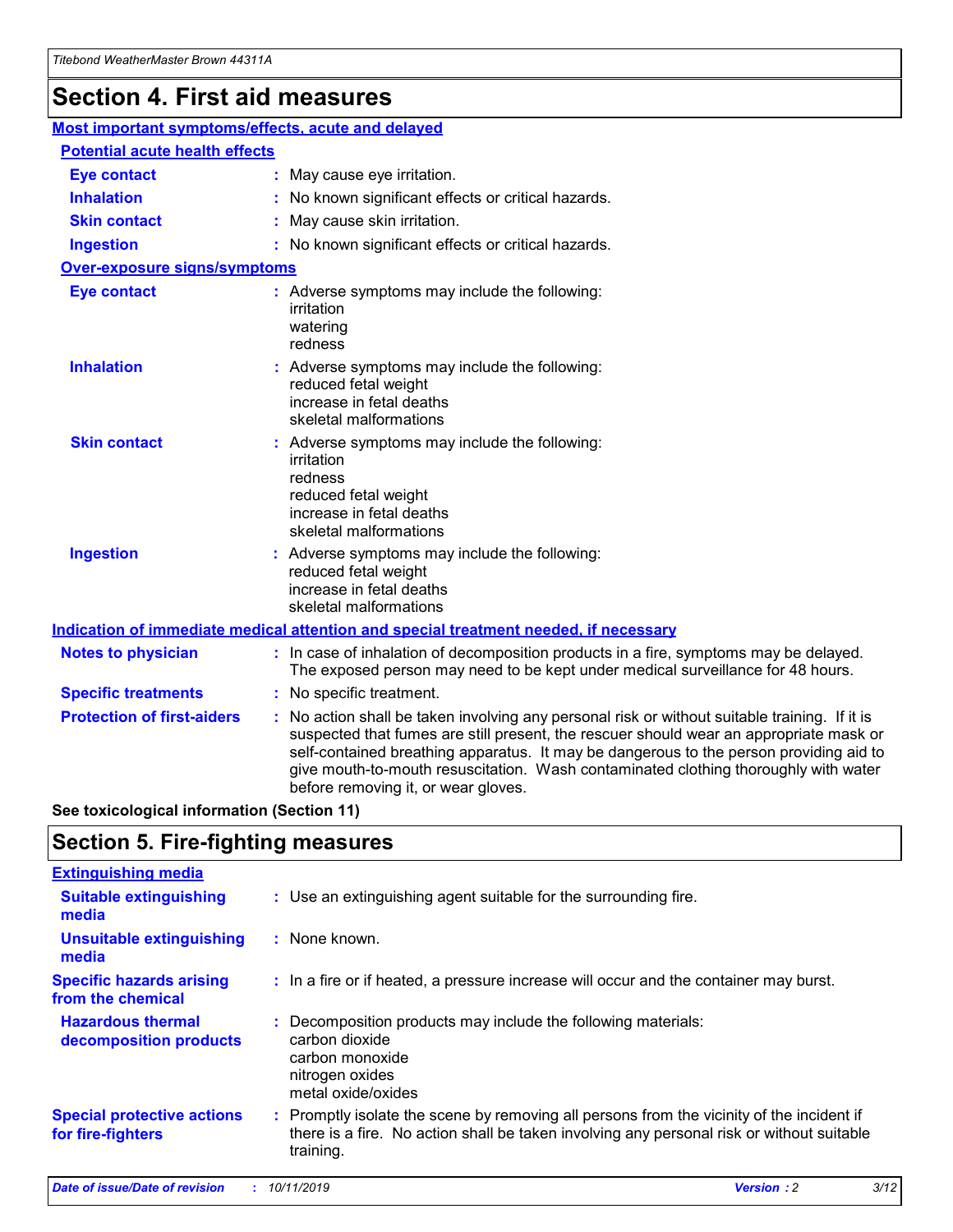## **Section 4. First aid measures**

| Most important symptoms/effects, acute and delayed |  |                                                                                                                                                                                                                                                                                                                                                                                                                 |
|----------------------------------------------------|--|-----------------------------------------------------------------------------------------------------------------------------------------------------------------------------------------------------------------------------------------------------------------------------------------------------------------------------------------------------------------------------------------------------------------|
| <b>Potential acute health effects</b>              |  |                                                                                                                                                                                                                                                                                                                                                                                                                 |
| Eye contact                                        |  | : May cause eye irritation.                                                                                                                                                                                                                                                                                                                                                                                     |
| <b>Inhalation</b>                                  |  | : No known significant effects or critical hazards.                                                                                                                                                                                                                                                                                                                                                             |
| <b>Skin contact</b>                                |  | : May cause skin irritation.                                                                                                                                                                                                                                                                                                                                                                                    |
| <b>Ingestion</b>                                   |  | : No known significant effects or critical hazards.                                                                                                                                                                                                                                                                                                                                                             |
| Over-exposure signs/symptoms                       |  |                                                                                                                                                                                                                                                                                                                                                                                                                 |
| <b>Eye contact</b>                                 |  | : Adverse symptoms may include the following:<br>irritation<br>watering<br>redness                                                                                                                                                                                                                                                                                                                              |
| <b>Inhalation</b>                                  |  | : Adverse symptoms may include the following:<br>reduced fetal weight<br>increase in fetal deaths<br>skeletal malformations                                                                                                                                                                                                                                                                                     |
| <b>Skin contact</b>                                |  | : Adverse symptoms may include the following:<br>irritation<br>redness<br>reduced fetal weight<br>increase in fetal deaths<br>skeletal malformations                                                                                                                                                                                                                                                            |
| <b>Ingestion</b>                                   |  | : Adverse symptoms may include the following:<br>reduced fetal weight<br>increase in fetal deaths<br>skeletal malformations                                                                                                                                                                                                                                                                                     |
|                                                    |  | <b>Indication of immediate medical attention and special treatment needed, if necessary</b>                                                                                                                                                                                                                                                                                                                     |
| <b>Notes to physician</b>                          |  | : In case of inhalation of decomposition products in a fire, symptoms may be delayed.<br>The exposed person may need to be kept under medical surveillance for 48 hours.                                                                                                                                                                                                                                        |
| <b>Specific treatments</b>                         |  | : No specific treatment.                                                                                                                                                                                                                                                                                                                                                                                        |
| <b>Protection of first-aiders</b>                  |  | : No action shall be taken involving any personal risk or without suitable training. If it is<br>suspected that fumes are still present, the rescuer should wear an appropriate mask or<br>self-contained breathing apparatus. It may be dangerous to the person providing aid to<br>give mouth-to-mouth resuscitation. Wash contaminated clothing thoroughly with water<br>before removing it, or wear gloves. |

**See toxicological information (Section 11)**

### **Section 5. Fire-fighting measures**

| <b>Extinguishing media</b>                             |                                                                                                                                                                                                     |
|--------------------------------------------------------|-----------------------------------------------------------------------------------------------------------------------------------------------------------------------------------------------------|
| <b>Suitable extinguishing</b><br>media                 | : Use an extinguishing agent suitable for the surrounding fire.                                                                                                                                     |
| <b>Unsuitable extinguishing</b><br>media               | : None known.                                                                                                                                                                                       |
| <b>Specific hazards arising</b><br>from the chemical   | : In a fire or if heated, a pressure increase will occur and the container may burst.                                                                                                               |
| <b>Hazardous thermal</b><br>decomposition products     | : Decomposition products may include the following materials:<br>carbon dioxide<br>carbon monoxide<br>nitrogen oxides<br>metal oxide/oxides                                                         |
| <b>Special protective actions</b><br>for fire-fighters | : Promptly isolate the scene by removing all persons from the vicinity of the incident if<br>there is a fire. No action shall be taken involving any personal risk or without suitable<br>training. |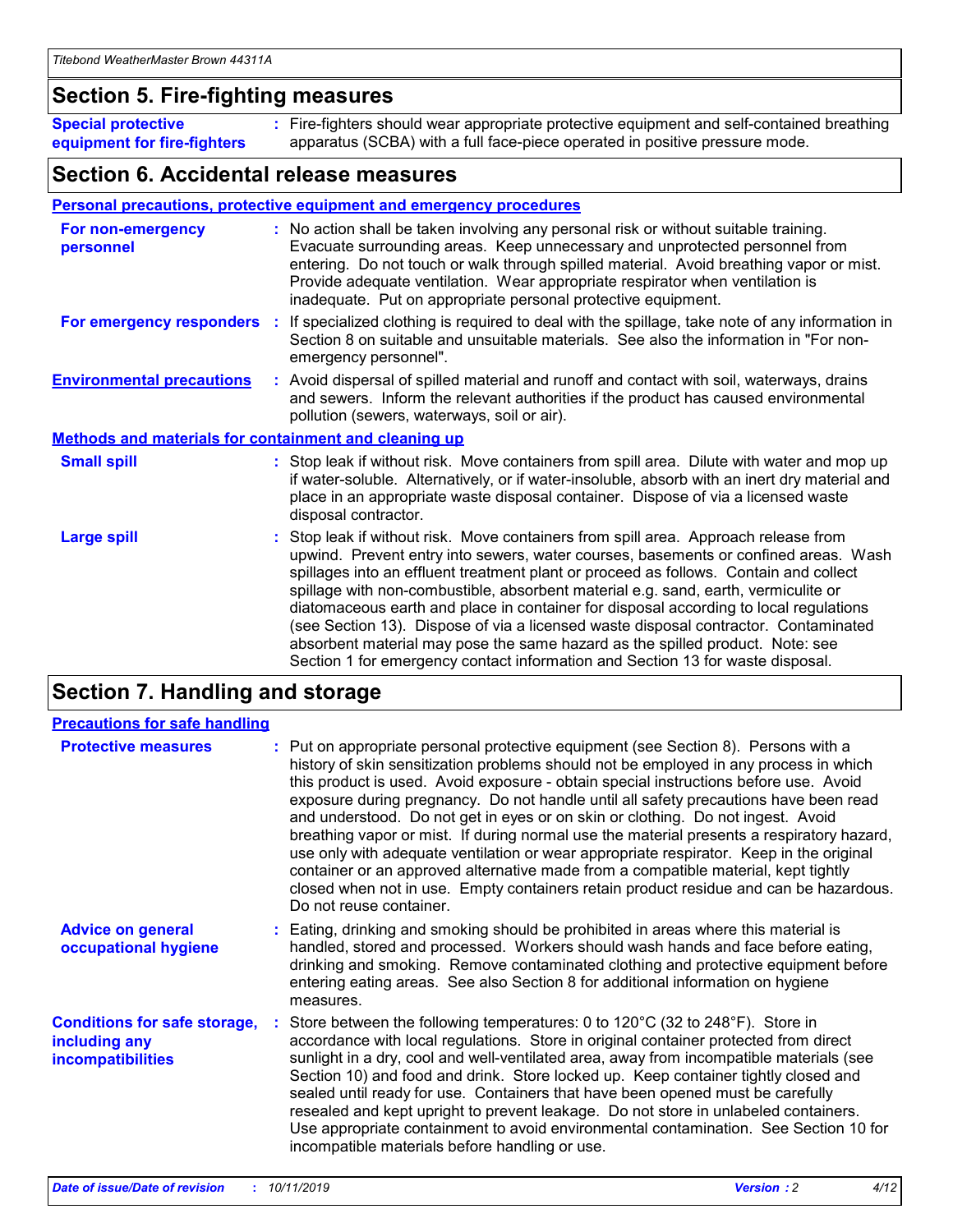### **Section 5. Fire-fighting measures**

**Special protective equipment for fire-fighters** Fire-fighters should wear appropriate protective equipment and self-contained breathing **:** apparatus (SCBA) with a full face-piece operated in positive pressure mode.

### **Section 6. Accidental release measures**

#### **Personal precautions, protective equipment and emergency procedures**

| For non-emergency<br>personnel                               | : No action shall be taken involving any personal risk or without suitable training.<br>Evacuate surrounding areas. Keep unnecessary and unprotected personnel from<br>entering. Do not touch or walk through spilled material. Avoid breathing vapor or mist.<br>Provide adequate ventilation. Wear appropriate respirator when ventilation is<br>inadequate. Put on appropriate personal protective equipment.                                                                                                                                                                                                                                                                                             |
|--------------------------------------------------------------|--------------------------------------------------------------------------------------------------------------------------------------------------------------------------------------------------------------------------------------------------------------------------------------------------------------------------------------------------------------------------------------------------------------------------------------------------------------------------------------------------------------------------------------------------------------------------------------------------------------------------------------------------------------------------------------------------------------|
|                                                              | For emergency responders : If specialized clothing is required to deal with the spillage, take note of any information in<br>Section 8 on suitable and unsuitable materials. See also the information in "For non-<br>emergency personnel".                                                                                                                                                                                                                                                                                                                                                                                                                                                                  |
| <b>Environmental precautions</b>                             | : Avoid dispersal of spilled material and runoff and contact with soil, waterways, drains<br>and sewers. Inform the relevant authorities if the product has caused environmental<br>pollution (sewers, waterways, soil or air).                                                                                                                                                                                                                                                                                                                                                                                                                                                                              |
| <b>Methods and materials for containment and cleaning up</b> |                                                                                                                                                                                                                                                                                                                                                                                                                                                                                                                                                                                                                                                                                                              |
| <b>Small spill</b>                                           | : Stop leak if without risk. Move containers from spill area. Dilute with water and mop up<br>if water-soluble. Alternatively, or if water-insoluble, absorb with an inert dry material and<br>place in an appropriate waste disposal container. Dispose of via a licensed waste<br>disposal contractor.                                                                                                                                                                                                                                                                                                                                                                                                     |
| <b>Large spill</b>                                           | : Stop leak if without risk. Move containers from spill area. Approach release from<br>upwind. Prevent entry into sewers, water courses, basements or confined areas. Wash<br>spillages into an effluent treatment plant or proceed as follows. Contain and collect<br>spillage with non-combustible, absorbent material e.g. sand, earth, vermiculite or<br>diatomaceous earth and place in container for disposal according to local regulations<br>(see Section 13). Dispose of via a licensed waste disposal contractor. Contaminated<br>absorbent material may pose the same hazard as the spilled product. Note: see<br>Section 1 for emergency contact information and Section 13 for waste disposal. |

### **Section 7. Handling and storage**

| <b>Precautions for safe handling</b>                                             |                                                                                                                                                                                                                                                                                                                                                                                                                                                                                                                                                                                                                                                                                                                                                                                                                                                  |
|----------------------------------------------------------------------------------|--------------------------------------------------------------------------------------------------------------------------------------------------------------------------------------------------------------------------------------------------------------------------------------------------------------------------------------------------------------------------------------------------------------------------------------------------------------------------------------------------------------------------------------------------------------------------------------------------------------------------------------------------------------------------------------------------------------------------------------------------------------------------------------------------------------------------------------------------|
| <b>Protective measures</b>                                                       | : Put on appropriate personal protective equipment (see Section 8). Persons with a<br>history of skin sensitization problems should not be employed in any process in which<br>this product is used. Avoid exposure - obtain special instructions before use. Avoid<br>exposure during pregnancy. Do not handle until all safety precautions have been read<br>and understood. Do not get in eyes or on skin or clothing. Do not ingest. Avoid<br>breathing vapor or mist. If during normal use the material presents a respiratory hazard,<br>use only with adequate ventilation or wear appropriate respirator. Keep in the original<br>container or an approved alternative made from a compatible material, kept tightly<br>closed when not in use. Empty containers retain product residue and can be hazardous.<br>Do not reuse container. |
| <b>Advice on general</b><br>occupational hygiene                                 | : Eating, drinking and smoking should be prohibited in areas where this material is<br>handled, stored and processed. Workers should wash hands and face before eating,<br>drinking and smoking. Remove contaminated clothing and protective equipment before<br>entering eating areas. See also Section 8 for additional information on hygiene<br>measures.                                                                                                                                                                                                                                                                                                                                                                                                                                                                                    |
| <b>Conditions for safe storage,</b><br>including any<br><b>incompatibilities</b> | : Store between the following temperatures: 0 to 120 $\degree$ C (32 to 248 $\degree$ F). Store in<br>accordance with local regulations. Store in original container protected from direct<br>sunlight in a dry, cool and well-ventilated area, away from incompatible materials (see<br>Section 10) and food and drink. Store locked up. Keep container tightly closed and<br>sealed until ready for use. Containers that have been opened must be carefully<br>resealed and kept upright to prevent leakage. Do not store in unlabeled containers.<br>Use appropriate containment to avoid environmental contamination. See Section 10 for<br>incompatible materials before handling or use.                                                                                                                                                   |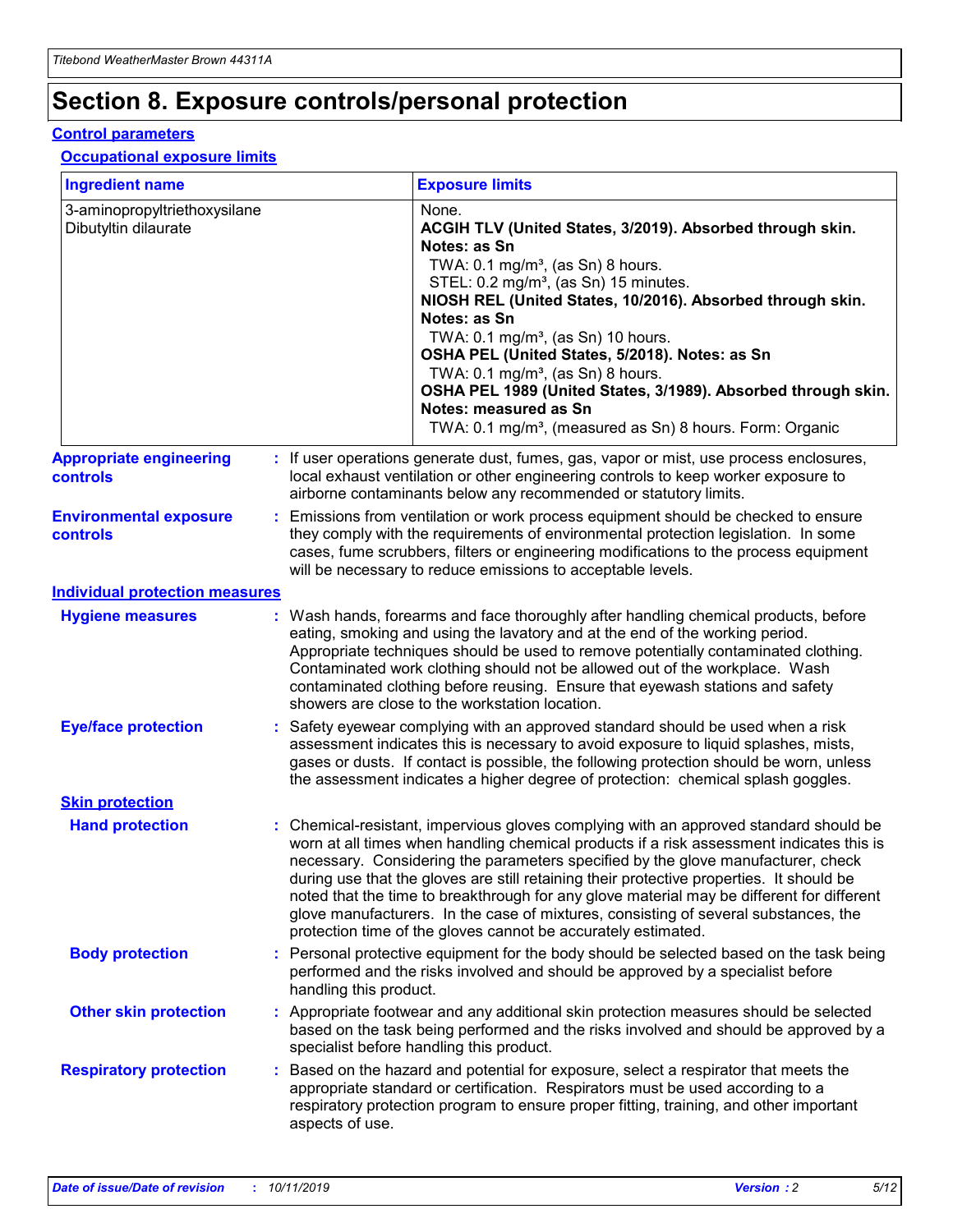## **Section 8. Exposure controls/personal protection**

#### **Control parameters**

#### **Occupational exposure limits**

| <b>Ingredient name</b>                               |                        | <b>Exposure limits</b>                                                                                                                                                                                                                                                                                                                                                                                                                                                                                                                                                                                                 |
|------------------------------------------------------|------------------------|------------------------------------------------------------------------------------------------------------------------------------------------------------------------------------------------------------------------------------------------------------------------------------------------------------------------------------------------------------------------------------------------------------------------------------------------------------------------------------------------------------------------------------------------------------------------------------------------------------------------|
| 3-aminopropyltriethoxysilane<br>Dibutyltin dilaurate |                        | None.<br>ACGIH TLV (United States, 3/2019). Absorbed through skin.<br>Notes: as Sn<br>TWA: 0.1 mg/m <sup>3</sup> , (as Sn) 8 hours.<br>STEL: 0.2 mg/m <sup>3</sup> , (as Sn) 15 minutes.<br>NIOSH REL (United States, 10/2016). Absorbed through skin.<br>Notes: as Sn<br>TWA: 0.1 mg/m <sup>3</sup> , (as Sn) 10 hours.<br>OSHA PEL (United States, 5/2018). Notes: as Sn<br>TWA: $0.1 \text{ mg/m}^3$ , (as Sn) 8 hours.<br>OSHA PEL 1989 (United States, 3/1989). Absorbed through skin.<br>Notes: measured as Sn<br>TWA: 0.1 mg/m <sup>3</sup> , (measured as Sn) 8 hours. Form: Organic                           |
| <b>Appropriate engineering</b><br><b>controls</b>    |                        | : If user operations generate dust, fumes, gas, vapor or mist, use process enclosures,<br>local exhaust ventilation or other engineering controls to keep worker exposure to<br>airborne contaminants below any recommended or statutory limits.                                                                                                                                                                                                                                                                                                                                                                       |
| <b>Environmental exposure</b><br><b>controls</b>     |                        | Emissions from ventilation or work process equipment should be checked to ensure<br>they comply with the requirements of environmental protection legislation. In some<br>cases, fume scrubbers, filters or engineering modifications to the process equipment<br>will be necessary to reduce emissions to acceptable levels.                                                                                                                                                                                                                                                                                          |
| <b>Individual protection measures</b>                |                        |                                                                                                                                                                                                                                                                                                                                                                                                                                                                                                                                                                                                                        |
| <b>Hygiene measures</b>                              |                        | : Wash hands, forearms and face thoroughly after handling chemical products, before<br>eating, smoking and using the lavatory and at the end of the working period.<br>Appropriate techniques should be used to remove potentially contaminated clothing.<br>Contaminated work clothing should not be allowed out of the workplace. Wash<br>contaminated clothing before reusing. Ensure that eyewash stations and safety<br>showers are close to the workstation location.                                                                                                                                            |
| <b>Eye/face protection</b>                           |                        | : Safety eyewear complying with an approved standard should be used when a risk<br>assessment indicates this is necessary to avoid exposure to liquid splashes, mists,<br>gases or dusts. If contact is possible, the following protection should be worn, unless<br>the assessment indicates a higher degree of protection: chemical splash goggles.                                                                                                                                                                                                                                                                  |
| <b>Skin protection</b>                               |                        |                                                                                                                                                                                                                                                                                                                                                                                                                                                                                                                                                                                                                        |
| <b>Hand protection</b>                               |                        | : Chemical-resistant, impervious gloves complying with an approved standard should be<br>worn at all times when handling chemical products if a risk assessment indicates this is<br>necessary. Considering the parameters specified by the glove manufacturer, check<br>during use that the gloves are still retaining their protective properties. It should be<br>noted that the time to breakthrough for any glove material may be different for different<br>glove manufacturers. In the case of mixtures, consisting of several substances, the<br>protection time of the gloves cannot be accurately estimated. |
| <b>Body protection</b>                               | handling this product. | : Personal protective equipment for the body should be selected based on the task being<br>performed and the risks involved and should be approved by a specialist before                                                                                                                                                                                                                                                                                                                                                                                                                                              |
| <b>Other skin protection</b>                         |                        | : Appropriate footwear and any additional skin protection measures should be selected<br>based on the task being performed and the risks involved and should be approved by a<br>specialist before handling this product.                                                                                                                                                                                                                                                                                                                                                                                              |
| <b>Respiratory protection</b>                        | aspects of use.        | : Based on the hazard and potential for exposure, select a respirator that meets the<br>appropriate standard or certification. Respirators must be used according to a<br>respiratory protection program to ensure proper fitting, training, and other important                                                                                                                                                                                                                                                                                                                                                       |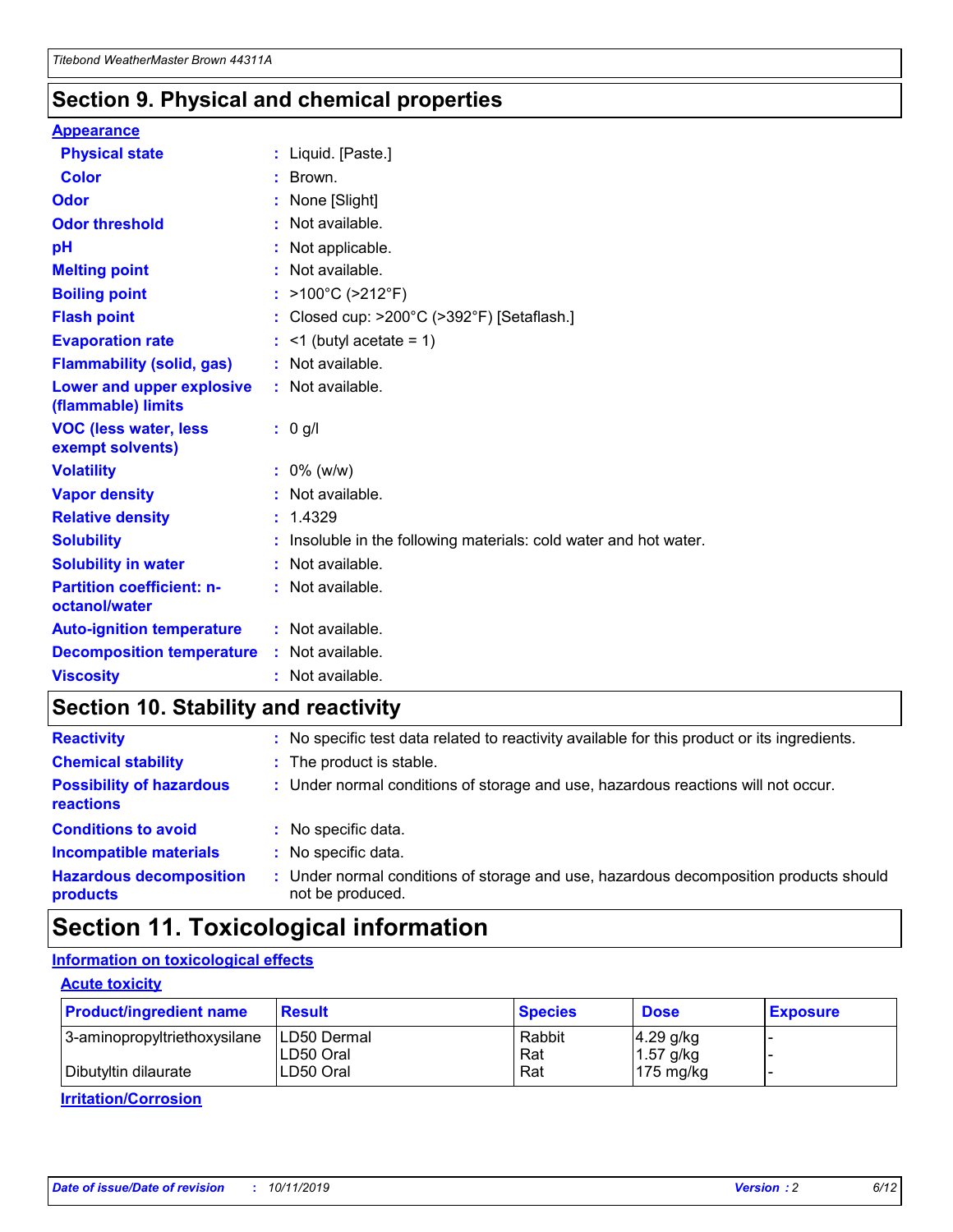### **Section 9. Physical and chemical properties**

#### **Appearance**

| <b>Physical state</b>                                  | : Liquid. [Paste.]                                              |
|--------------------------------------------------------|-----------------------------------------------------------------|
| <b>Color</b>                                           | : Brown.                                                        |
| Odor                                                   | None [Slight]                                                   |
| <b>Odor threshold</b>                                  | $:$ Not available.                                              |
| рH                                                     | : Not applicable.                                               |
| <b>Melting point</b>                                   | : Not available.                                                |
| <b>Boiling point</b>                                   | : $>100^{\circ}$ C ( $>212^{\circ}$ F)                          |
| <b>Flash point</b>                                     | : Closed cup: $>200^{\circ}$ C ( $>392^{\circ}$ F) [Setaflash.] |
| <b>Evaporation rate</b>                                | $:$ <1 (butyl acetate = 1)                                      |
| <b>Flammability (solid, gas)</b>                       | : Not available.                                                |
| <b>Lower and upper explosive</b><br>(flammable) limits | : Not available.                                                |
|                                                        |                                                                 |
| <b>VOC (less water, less</b><br>exempt solvents)       | $: 0$ g/l                                                       |
| <b>Volatility</b>                                      | $: 0\%$ (w/w)                                                   |
| <b>Vapor density</b>                                   | : Not available.                                                |
| <b>Relative density</b>                                | : 1.4329                                                        |
| <b>Solubility</b>                                      | Insoluble in the following materials: cold water and hot water. |
| <b>Solubility in water</b>                             | : Not available.                                                |
| <b>Partition coefficient: n-</b><br>octanol/water      | $:$ Not available.                                              |
| <b>Auto-ignition temperature</b>                       | : Not available.                                                |
| <b>Decomposition temperature</b>                       | : Not available.                                                |

### **Section 10. Stability and reactivity**

| <b>Reactivity</b>                            |    | : No specific test data related to reactivity available for this product or its ingredients.            |
|----------------------------------------------|----|---------------------------------------------------------------------------------------------------------|
| <b>Chemical stability</b>                    |    | : The product is stable.                                                                                |
| <b>Possibility of hazardous</b><br>reactions |    | : Under normal conditions of storage and use, hazardous reactions will not occur.                       |
| <b>Conditions to avoid</b>                   |    | : No specific data.                                                                                     |
| <b>Incompatible materials</b>                | ÷. | No specific data.                                                                                       |
| <b>Hazardous decomposition</b><br>products   |    | Under normal conditions of storage and use, hazardous decomposition products should<br>not be produced. |

### **Section 11. Toxicological information**

### **Information on toxicological effects**

#### **Acute toxicity**

| <b>Product/ingredient name</b> | <b>Result</b>           | <b>Species</b> | <b>Dose</b>                | <b>Exposure</b> |
|--------------------------------|-------------------------|----------------|----------------------------|-----------------|
| 3-aminopropyltriethoxysilane   | <b>ILD50 Dermal</b>     | Rabbit         | 4.29 g/kg                  |                 |
| Dibutyltin dilaurate           | ILD50 Oral<br>LD50 Oral | Rat<br>Rat     | $1.57$ g/kg<br>175 $mg/kg$ |                 |
|                                |                         |                |                            |                 |

**Irritation/Corrosion**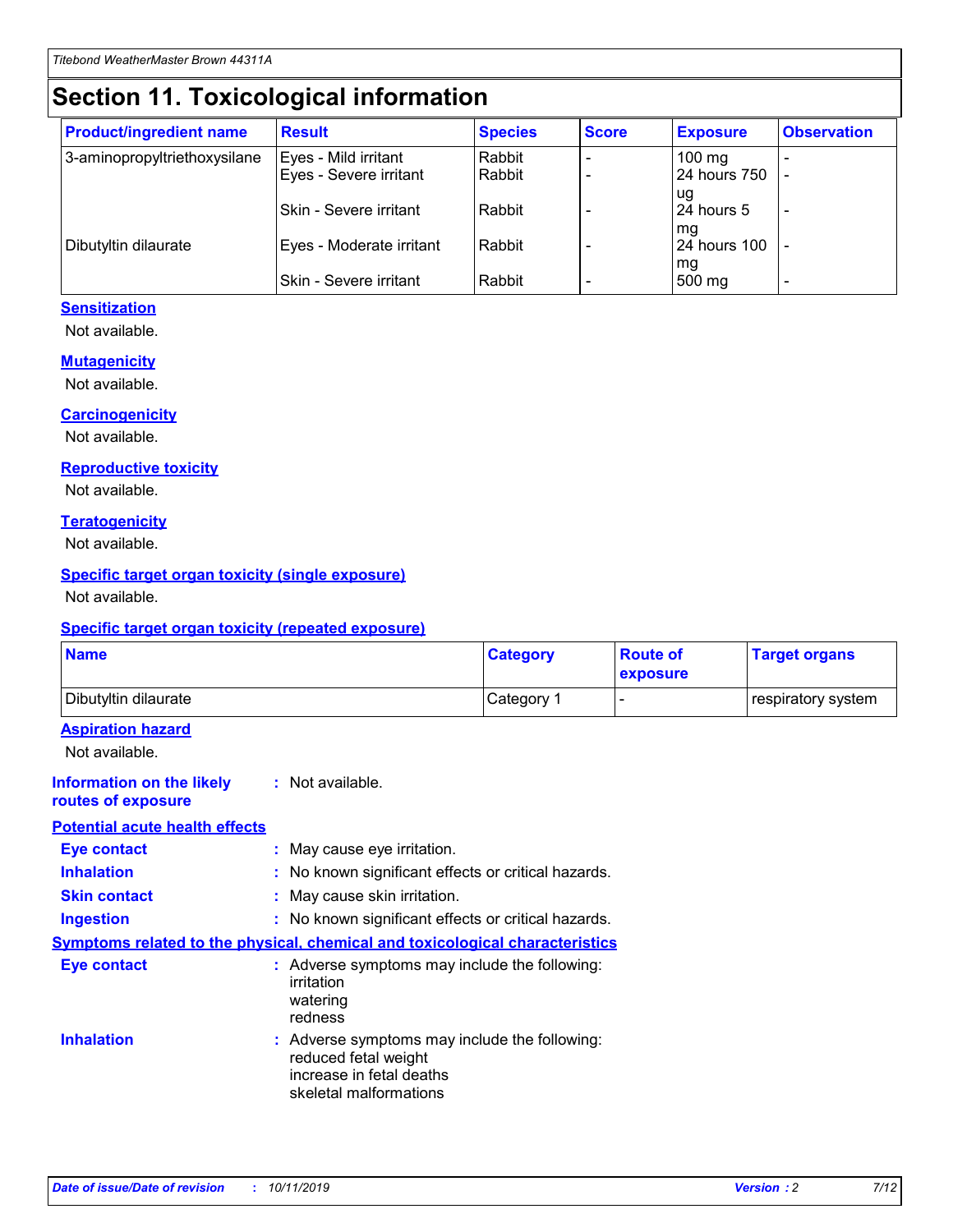## **Section 11. Toxicological information**

| <b>Product/ingredient name</b> | <b>Result</b>            | <b>Species</b> | <b>Score</b> | <b>Exposure</b>     | <b>Observation</b> |
|--------------------------------|--------------------------|----------------|--------------|---------------------|--------------------|
| 3-aminopropyltriethoxysilane   | Eyes - Mild irritant     | Rabbit         |              | $100 \text{ mg}$    |                    |
|                                | Eyes - Severe irritant   | Rabbit         |              | 24 hours 750        |                    |
|                                |                          |                |              | ug                  |                    |
|                                | Skin - Severe irritant   | Rabbit         |              | 24 hours 5          |                    |
|                                |                          |                |              | mq                  |                    |
| Dibutyltin dilaurate           | Eyes - Moderate irritant | Rabbit         |              | <b>24 hours 100</b> |                    |
|                                | Skin - Severe irritant   | Rabbit         |              | mg<br>500 mg        |                    |
|                                |                          |                |              |                     |                    |

#### **Sensitization**

Not available.

#### **Mutagenicity**

Not available.

#### **Carcinogenicity**

Not available.

#### **Reproductive toxicity**

Not available.

#### **Teratogenicity**

Not available.

#### **Specific target organ toxicity (single exposure)**

Not available.

#### **Specific target organ toxicity (repeated exposure)**

| <b>Name</b>                                                                  |                                                                                                                             | <b>Category</b> | <b>Route of</b><br>exposure | <b>Target organs</b> |
|------------------------------------------------------------------------------|-----------------------------------------------------------------------------------------------------------------------------|-----------------|-----------------------------|----------------------|
| Dibutyltin dilaurate                                                         |                                                                                                                             | Category 1      |                             | respiratory system   |
| <b>Aspiration hazard</b><br>Not available.                                   |                                                                                                                             |                 |                             |                      |
| <b>Information on the likely</b><br>routes of exposure                       | : Not available.                                                                                                            |                 |                             |                      |
| <b>Potential acute health effects</b>                                        |                                                                                                                             |                 |                             |                      |
| <b>Eye contact</b>                                                           | : May cause eye irritation.                                                                                                 |                 |                             |                      |
| <b>Inhalation</b>                                                            | : No known significant effects or critical hazards.                                                                         |                 |                             |                      |
| <b>Skin contact</b>                                                          | : May cause skin irritation.                                                                                                |                 |                             |                      |
| <b>Ingestion</b>                                                             | : No known significant effects or critical hazards.                                                                         |                 |                             |                      |
| Symptoms related to the physical, chemical and toxicological characteristics |                                                                                                                             |                 |                             |                      |
| <b>Eye contact</b>                                                           | : Adverse symptoms may include the following:<br>irritation<br>watering<br>redness                                          |                 |                             |                      |
| <b>Inhalation</b>                                                            | : Adverse symptoms may include the following:<br>reduced fetal weight<br>increase in fetal deaths<br>skeletal malformations |                 |                             |                      |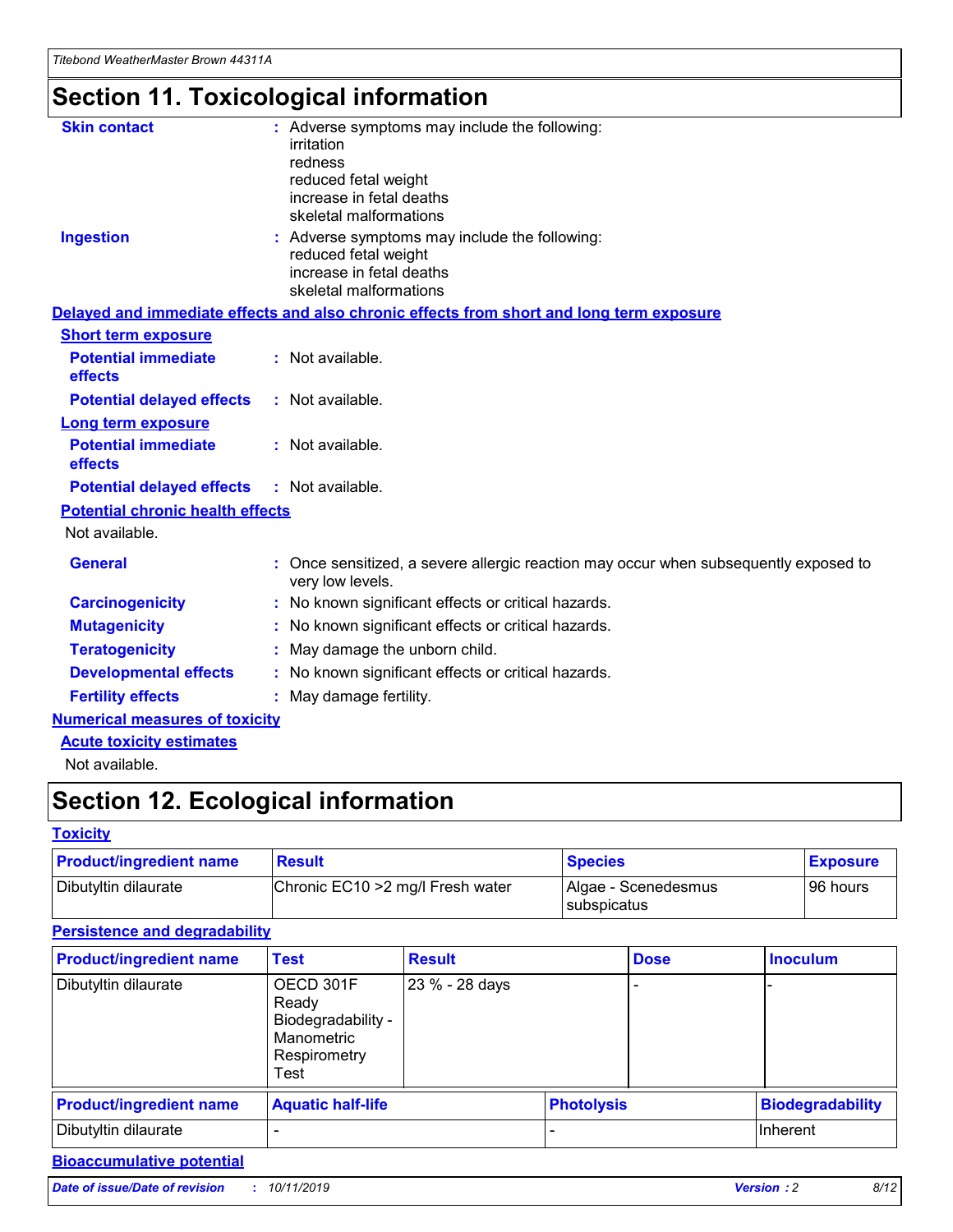# **Section 11. Toxicological information**

| <b>Skin contact</b>                     | : Adverse symptoms may include the following:                                                          |
|-----------------------------------------|--------------------------------------------------------------------------------------------------------|
|                                         | irritation<br>redness                                                                                  |
|                                         | reduced fetal weight                                                                                   |
|                                         | increase in fetal deaths                                                                               |
|                                         | skeletal malformations                                                                                 |
| <b>Ingestion</b>                        | : Adverse symptoms may include the following:                                                          |
|                                         | reduced fetal weight<br>increase in fetal deaths                                                       |
|                                         | skeletal malformations                                                                                 |
|                                         | Delayed and immediate effects and also chronic effects from short and long term exposure               |
| <b>Short term exposure</b>              |                                                                                                        |
| <b>Potential immediate</b>              | : Not available.                                                                                       |
| effects                                 |                                                                                                        |
| <b>Potential delayed effects</b>        | : Not available.                                                                                       |
| <b>Long term exposure</b>               |                                                                                                        |
| <b>Potential immediate</b>              | : Not available.                                                                                       |
| effects                                 |                                                                                                        |
| <b>Potential delayed effects</b>        | : Not available.                                                                                       |
| <b>Potential chronic health effects</b> |                                                                                                        |
| Not available.                          |                                                                                                        |
| <b>General</b>                          | Once sensitized, a severe allergic reaction may occur when subsequently exposed to<br>very low levels. |
| <b>Carcinogenicity</b>                  | : No known significant effects or critical hazards.                                                    |
| <b>Mutagenicity</b>                     | No known significant effects or critical hazards.                                                      |
| <b>Teratogenicity</b>                   | May damage the unborn child.                                                                           |
| <b>Developmental effects</b>            | : No known significant effects or critical hazards.                                                    |
| <b>Fertility effects</b>                | May damage fertility.                                                                                  |
| <b>Numerical measures of toxicity</b>   |                                                                                                        |
| <b>Acute toxicity estimates</b>         |                                                                                                        |
| المسابق المستنقذ والمستنبذ والمستنب     |                                                                                                        |

Not available.

## **Section 12. Ecological information**

#### **Toxicity**

| <b>Product/ingredient name</b> | <b>Result</b>                     | <b>Species</b>                       | <b>Exposure</b> |
|--------------------------------|-----------------------------------|--------------------------------------|-----------------|
| Dibutyltin dilaurate           | Chronic EC10 > 2 mg/l Fresh water | Algae - Scenedesmus<br>I subspicatus | l 96 hours      |

### **Persistence and degradability**

| <b>Product/ingredient name</b> | <b>Test</b>                                                                    | <b>Result</b>  |                   | <b>Dose</b> | <b>Inoculum</b>         |
|--------------------------------|--------------------------------------------------------------------------------|----------------|-------------------|-------------|-------------------------|
| Dibutyltin dilaurate           | OECD 301F<br>Ready<br>Biodegradability -<br>Manometric<br>Respirometry<br>Test | 23 % - 28 days |                   |             |                         |
| <b>Product/ingredient name</b> | <b>Aquatic half-life</b>                                                       |                | <b>Photolysis</b> |             | <b>Biodegradability</b> |
| Dibutyltin dilaurate           |                                                                                |                |                   |             | Inherent                |

### **Bioaccumulative potential**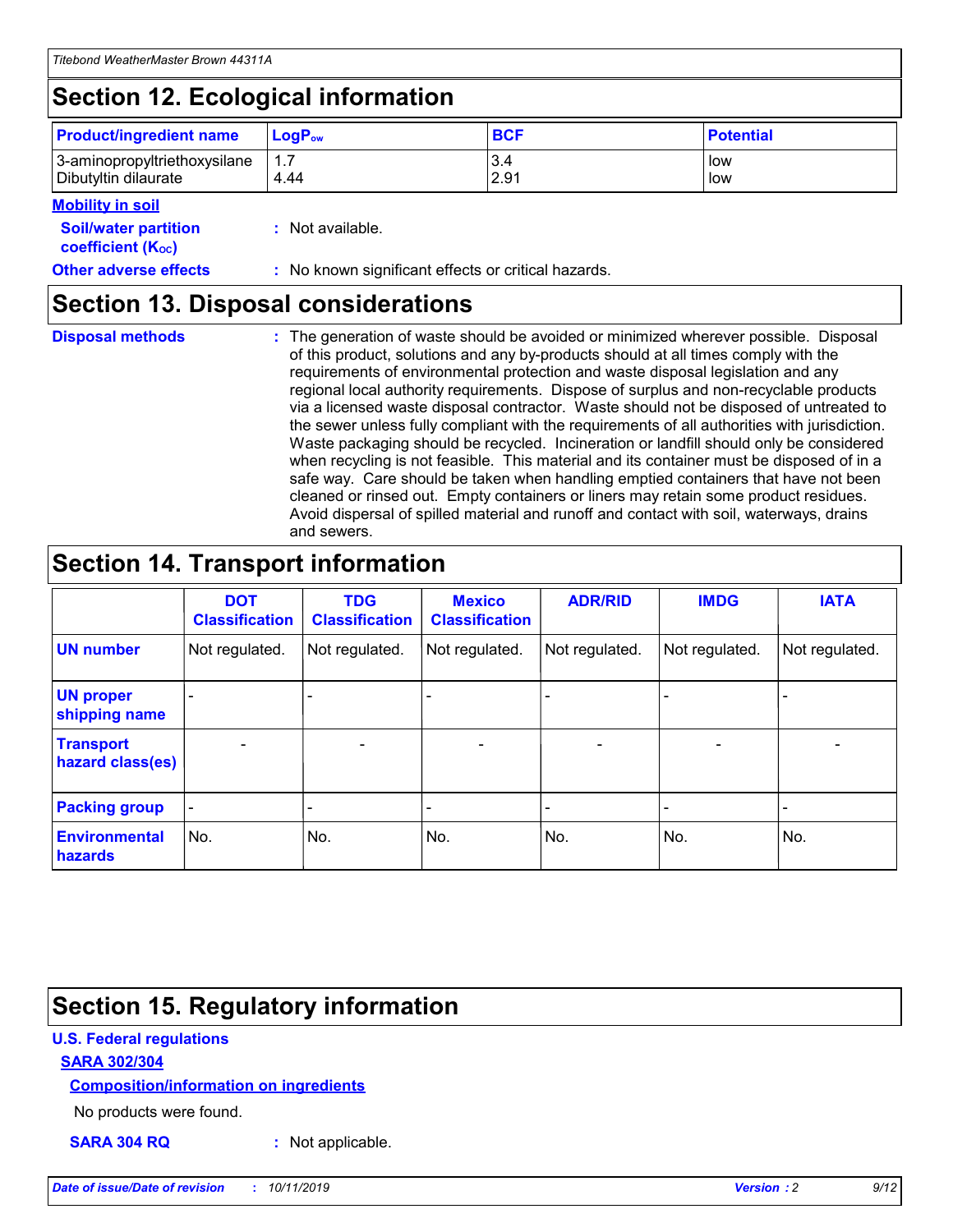## **Section 12. Ecological information**

| <b>Product/ingredient name</b> | $LoaPow$ | <b>BCF</b> | <b>Potential</b> |
|--------------------------------|----------|------------|------------------|
| 3-aminopropyltriethoxysilane   | 1.7      | 3.4        | low              |
| Dibutyltin dilaurate           | 4.44     | 2.91       | low              |

#### **Mobility in soil**

| <b>Soil/water partition</b><br>coefficient (K <sub>oc</sub> ) | : Not available.                                    |
|---------------------------------------------------------------|-----------------------------------------------------|
| <b>Other adverse effects</b>                                  | : No known significant effects or critical hazards. |

### **Section 13. Disposal considerations**

|  | <b>Disposal methods</b> |  |
|--|-------------------------|--|
|  |                         |  |

**Disposal methods** : The generation of waste should be avoided or minimized wherever possible. Disposal of this product, solutions and any by-products should at all times comply with the requirements of environmental protection and waste disposal legislation and any regional local authority requirements. Dispose of surplus and non-recyclable products via a licensed waste disposal contractor. Waste should not be disposed of untreated to the sewer unless fully compliant with the requirements of all authorities with jurisdiction. Waste packaging should be recycled. Incineration or landfill should only be considered when recycling is not feasible. This material and its container must be disposed of in a safe way. Care should be taken when handling emptied containers that have not been cleaned or rinsed out. Empty containers or liners may retain some product residues. Avoid dispersal of spilled material and runoff and contact with soil, waterways, drains and sewers.

## **Section 14. Transport information**

|                                      | <b>DOT</b><br><b>Classification</b> | <b>TDG</b><br><b>Classification</b> | <b>Mexico</b><br><b>Classification</b> | <b>ADR/RID</b>           | <b>IMDG</b>              | <b>IATA</b>    |
|--------------------------------------|-------------------------------------|-------------------------------------|----------------------------------------|--------------------------|--------------------------|----------------|
| <b>UN number</b>                     | Not regulated.                      | Not regulated.                      | Not regulated.                         | Not regulated.           | Not regulated.           | Not regulated. |
| <b>UN proper</b><br>shipping name    |                                     |                                     |                                        |                          |                          |                |
| <b>Transport</b><br>hazard class(es) | $\overline{\phantom{a}}$            | $\overline{\phantom{0}}$            | $\overline{\phantom{0}}$               | $\overline{\phantom{0}}$ | $\overline{\phantom{0}}$ | $\blacksquare$ |
| <b>Packing group</b>                 | $\overline{\phantom{a}}$            |                                     |                                        |                          | -                        |                |
| <b>Environmental</b><br>hazards      | No.                                 | No.                                 | No.                                    | No.                      | No.                      | No.            |

## **Section 15. Regulatory information**

#### **U.S. Federal regulations**

#### **SARA 302/304**

#### **Composition/information on ingredients**

No products were found.

**SARA 304 RQ :** Not applicable.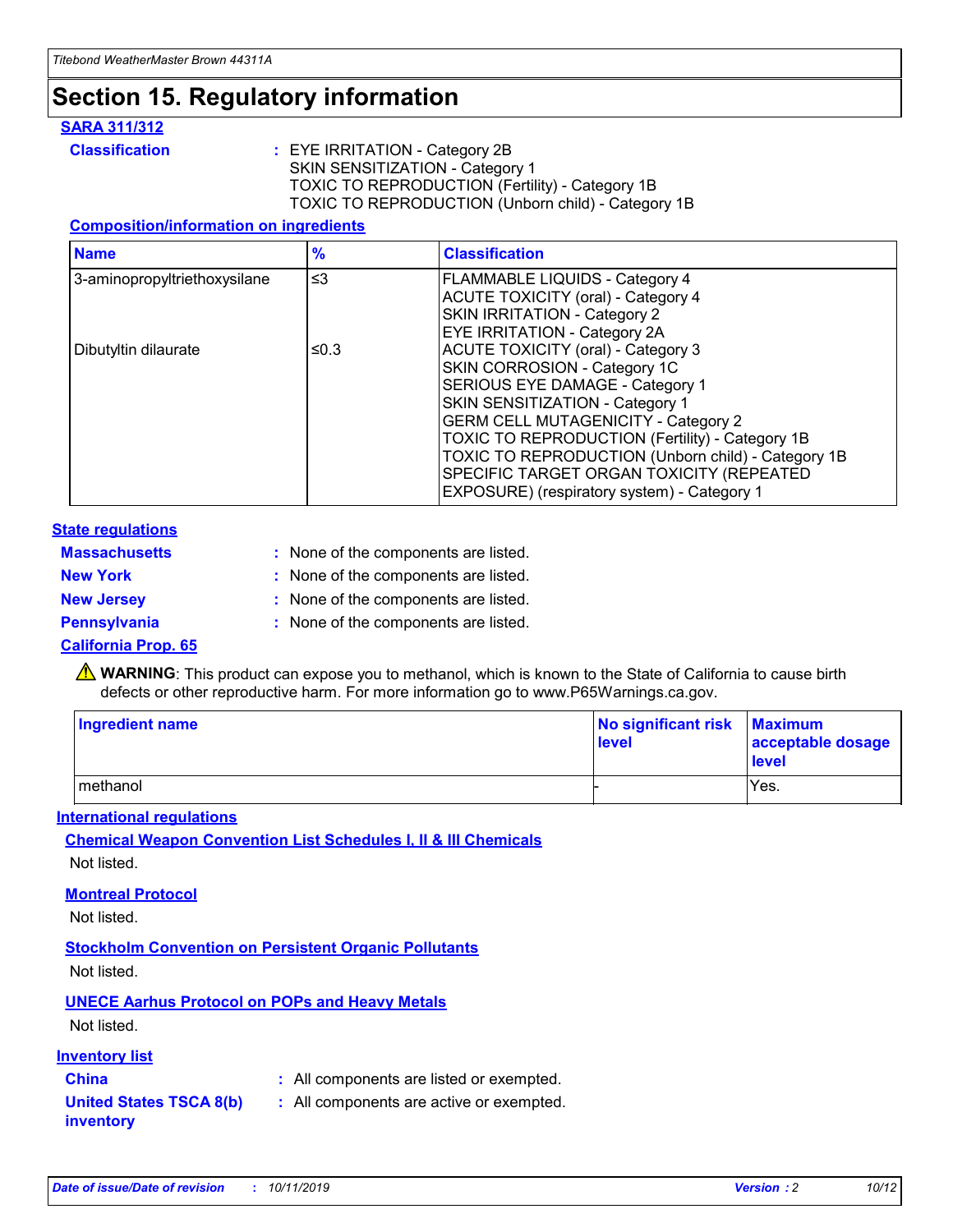## **Section 15. Regulatory information**

#### **SARA 311/312**

**Classification :** EYE IRRITATION - Category 2B SKIN SENSITIZATION - Category 1 TOXIC TO REPRODUCTION (Fertility) - Category 1B TOXIC TO REPRODUCTION (Unborn child) - Category 1B

#### **Composition/information on ingredients**

| <b>Name</b>                  | $\frac{9}{6}$ | <b>Classification</b>                                                                                            |
|------------------------------|---------------|------------------------------------------------------------------------------------------------------------------|
| 3-aminopropyltriethoxysilane | $\leq$ 3      | <b>FLAMMABLE LIQUIDS - Category 4</b><br><b>ACUTE TOXICITY (oral) - Category 4</b>                               |
|                              |               | SKIN IRRITATION - Category 2<br><b>EYE IRRITATION - Category 2A</b>                                              |
| Dibutyltin dilaurate         | ≤0.3          | ACUTE TOXICITY (oral) - Category 3<br>SKIN CORROSION - Category 1C                                               |
|                              |               | SERIOUS EYE DAMAGE - Category 1<br>SKIN SENSITIZATION - Category 1<br><b>GERM CELL MUTAGENICITY - Category 2</b> |
|                              |               | TOXIC TO REPRODUCTION (Fertility) - Category 1B<br>TOXIC TO REPRODUCTION (Unborn child) - Category 1B            |
|                              |               | SPECIFIC TARGET ORGAN TOXICITY (REPEATED<br>EXPOSURE) (respiratory system) - Category 1                          |

#### **State regulations**

| <b>Massachusetts</b> | : None of the components are listed. |
|----------------------|--------------------------------------|
| <b>New York</b>      | : None of the components are listed. |
| <b>New Jersey</b>    | : None of the components are listed. |
| <b>Pennsylvania</b>  | : None of the components are listed. |

#### **California Prop. 65**

**A** WARNING: This product can expose you to methanol, which is known to the State of California to cause birth defects or other reproductive harm. For more information go to www.P65Warnings.ca.gov.

| <b>Ingredient name</b> | No significant risk Maximum<br>level | acceptable dosage<br>level |
|------------------------|--------------------------------------|----------------------------|
| methanol               |                                      | Yes.                       |

#### **International regulations**

**Chemical Weapon Convention List Schedules I, II & III Chemicals** Not listed.

#### **Montreal Protocol**

Not listed.

**Stockholm Convention on Persistent Organic Pollutants**

Not listed.

### **UNECE Aarhus Protocol on POPs and Heavy Metals**

Not listed.

#### **Inventory list**

### **China :** All components are listed or exempted.

**United States TSCA 8(b) inventory :** All components are active or exempted.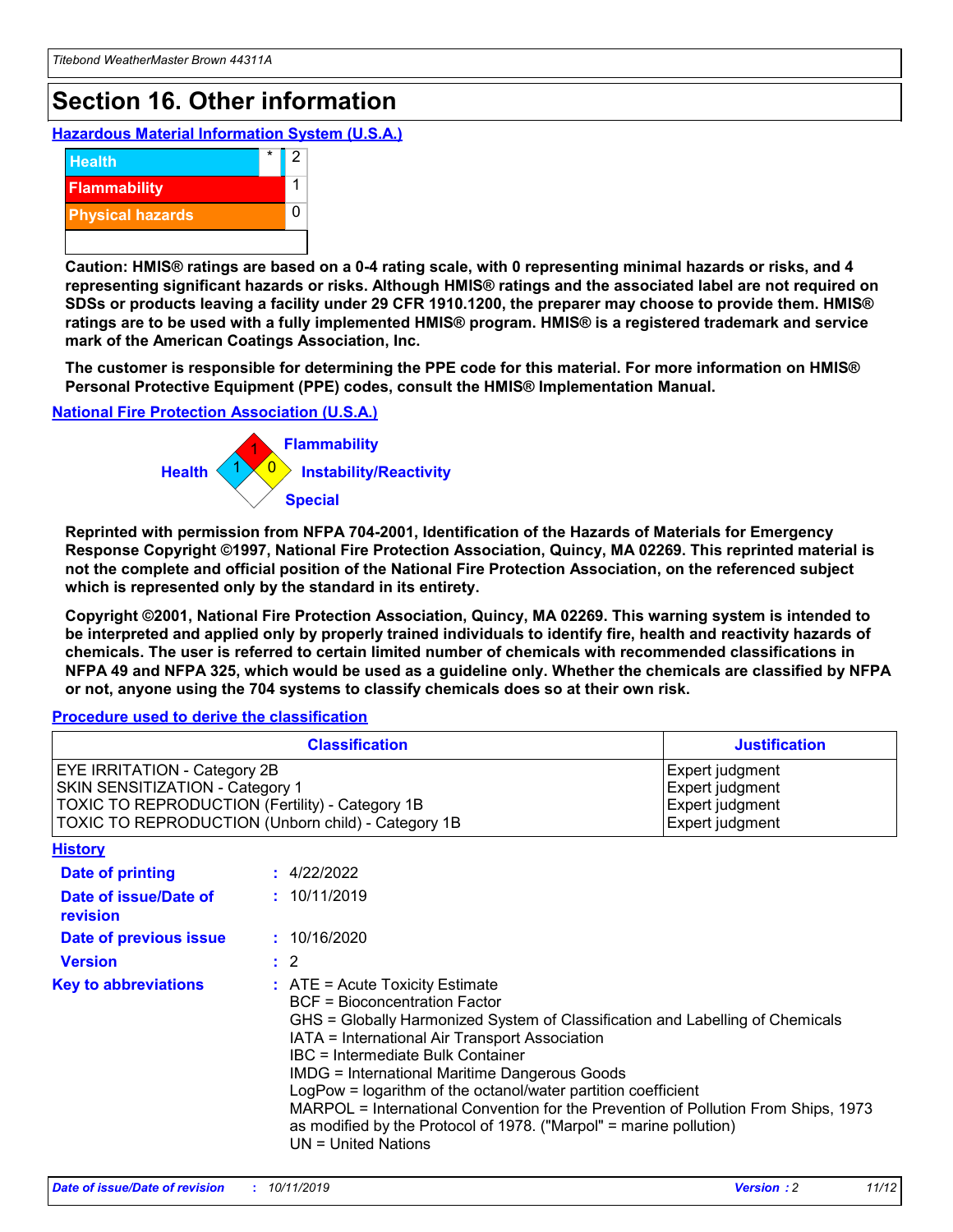## **Section 16. Other information**

**Hazardous Material Information System (U.S.A.)**



**Caution: HMIS® ratings are based on a 0-4 rating scale, with 0 representing minimal hazards or risks, and 4 representing significant hazards or risks. Although HMIS® ratings and the associated label are not required on SDSs or products leaving a facility under 29 CFR 1910.1200, the preparer may choose to provide them. HMIS® ratings are to be used with a fully implemented HMIS® program. HMIS® is a registered trademark and service mark of the American Coatings Association, Inc.**

**The customer is responsible for determining the PPE code for this material. For more information on HMIS® Personal Protective Equipment (PPE) codes, consult the HMIS® Implementation Manual.**

#### **National Fire Protection Association (U.S.A.)**



**Reprinted with permission from NFPA 704-2001, Identification of the Hazards of Materials for Emergency Response Copyright ©1997, National Fire Protection Association, Quincy, MA 02269. This reprinted material is not the complete and official position of the National Fire Protection Association, on the referenced subject which is represented only by the standard in its entirety.**

**Copyright ©2001, National Fire Protection Association, Quincy, MA 02269. This warning system is intended to be interpreted and applied only by properly trained individuals to identify fire, health and reactivity hazards of chemicals. The user is referred to certain limited number of chemicals with recommended classifications in NFPA 49 and NFPA 325, which would be used as a guideline only. Whether the chemicals are classified by NFPA or not, anyone using the 704 systems to classify chemicals does so at their own risk.**

#### **Procedure used to derive the classification**

|                                                                                                                           | <b>Classification</b>                                                                                                                                                                                                                                                                                                                                                                                                                                                                                                                                         | <b>Justification</b>                                                     |
|---------------------------------------------------------------------------------------------------------------------------|---------------------------------------------------------------------------------------------------------------------------------------------------------------------------------------------------------------------------------------------------------------------------------------------------------------------------------------------------------------------------------------------------------------------------------------------------------------------------------------------------------------------------------------------------------------|--------------------------------------------------------------------------|
| <b>EYE IRRITATION - Category 2B</b><br>SKIN SENSITIZATION - Category 1<br>TOXIC TO REPRODUCTION (Fertility) - Category 1B | TOXIC TO REPRODUCTION (Unborn child) - Category 1B                                                                                                                                                                                                                                                                                                                                                                                                                                                                                                            | Expert judgment<br>Expert judgment<br>Expert judgment<br>Expert judgment |
| <b>History</b>                                                                                                            |                                                                                                                                                                                                                                                                                                                                                                                                                                                                                                                                                               |                                                                          |
| <b>Date of printing</b>                                                                                                   | : 4/22/2022                                                                                                                                                                                                                                                                                                                                                                                                                                                                                                                                                   |                                                                          |
| Date of issue/Date of<br>revision                                                                                         | : 10/11/2019                                                                                                                                                                                                                                                                                                                                                                                                                                                                                                                                                  |                                                                          |
| Date of previous issue                                                                                                    | : 10/16/2020                                                                                                                                                                                                                                                                                                                                                                                                                                                                                                                                                  |                                                                          |
| <b>Version</b>                                                                                                            | $\therefore$ 2                                                                                                                                                                                                                                                                                                                                                                                                                                                                                                                                                |                                                                          |
| <b>Key to abbreviations</b>                                                                                               | $:$ ATE = Acute Toxicity Estimate<br><b>BCF</b> = Bioconcentration Factor<br>GHS = Globally Harmonized System of Classification and Labelling of Chemicals<br>IATA = International Air Transport Association<br>IBC = Intermediate Bulk Container<br><b>IMDG = International Maritime Dangerous Goods</b><br>LogPow = logarithm of the octanol/water partition coefficient<br>MARPOL = International Convention for the Prevention of Pollution From Ships, 1973<br>as modified by the Protocol of 1978. ("Marpol" = marine pollution)<br>UN = United Nations |                                                                          |